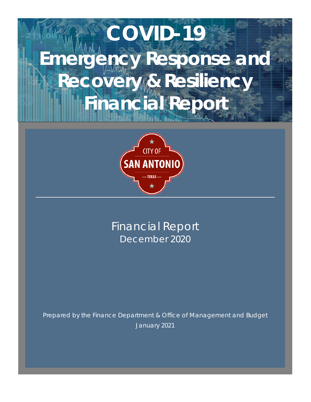# **COVID-19 Emergency Response and Recovery & Resiliency Financial Report**



Financial Report December 2020

Prepared by the Finance Department & Office of Management and Budget January 2021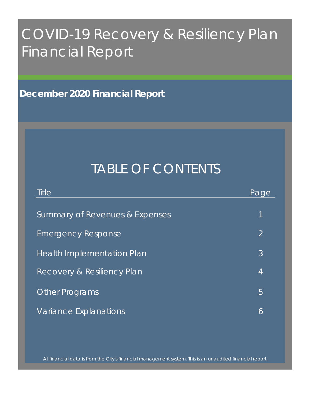# COVID-19 Recovery & Resiliency Plan Financial Report

**December 2020 Financial Report**

# TABLE OF CONTENTS

| Title                             | Page           |
|-----------------------------------|----------------|
| Summary of Revenues & Expenses    | $\mathbf 1$    |
| <b>Emergency Response</b>         | $\overline{2}$ |
| <b>Health Implementation Plan</b> | 3              |
| Recovery & Resiliency Plan        | $\overline{4}$ |
| <b>Other Programs</b>             | 5              |
| Variance Explanations             | 6              |

All financial data is from the City's financial management system. This is an unaudited financial report.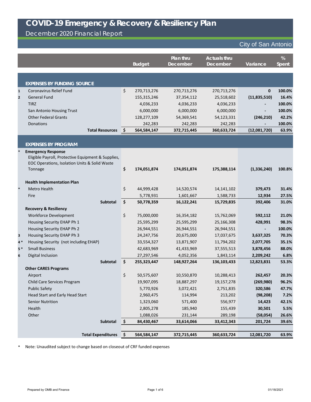### December 2020 Financial Report

#### City of San Antonio

|                |                                                    |                        |                   | Plan thru       | <b>Actuals thru</b> |               | %            |
|----------------|----------------------------------------------------|------------------------|-------------------|-----------------|---------------------|---------------|--------------|
|                |                                                    |                        | <b>Budget</b>     | <b>December</b> | <b>December</b>     | Variance      | <b>Spent</b> |
|                |                                                    |                        |                   |                 |                     |               |              |
|                |                                                    |                        |                   |                 |                     |               |              |
|                | <b>EXPENSES BY FUNDING SOURCE</b>                  |                        |                   |                 |                     |               |              |
| $\mathbf{1}$   | <b>Coronavirus Relief Fund</b>                     |                        | \$<br>270,713,276 | 270,713,276     | 270,713,276         | $\mathbf 0$   | 100.0%       |
| $\overline{2}$ | <b>General Fund</b>                                |                        | 155,315,246       | 37, 354, 112    | 25,518,602          | (11,835,510)  | 16.4%        |
|                | <b>TIRZ</b>                                        |                        | 4,036,233         | 4,036,233       | 4,036,233           |               | 100.0%       |
|                | San Antonio Housing Trust                          |                        | 6,000,000         | 6,000,000       | 6,000,000           |               | 100.0%       |
|                | <b>Other Federal Grants</b>                        |                        | 128,277,109       | 54,369,541      | 54,123,331          | (246, 210)    | 42.2%        |
|                | Donations                                          |                        | 242,283           | 242,283         | 242,283             |               | 100.0%       |
|                |                                                    | <b>Total Resources</b> | \$<br>564,584,147 | 372,715,445     | 360,633,724         | (12,081,720)  | 63.9%        |
|                |                                                    |                        |                   |                 |                     |               |              |
|                | <b>EXPENSES BY PROGRAM</b>                         |                        |                   |                 |                     |               |              |
| $\ast$         | <b>Emergency Response</b>                          |                        |                   |                 |                     |               |              |
|                | Eligible Payroll, Protective Equipment & Supplies, |                        |                   |                 |                     |               |              |
|                | EOC Operations, Isolation Units & Solid Waste      |                        |                   |                 |                     |               |              |
|                | Tonnage                                            |                        | \$<br>174,051,874 | 174,051,874     | 175,388,114         | (1, 336, 240) | 100.8%       |
|                |                                                    |                        |                   |                 |                     |               |              |
|                | <b>Health Implementation Plan</b>                  |                        |                   |                 |                     |               |              |
|                | <b>Metro Health</b>                                |                        | \$<br>44,999,428  | 14,520,574      | 14, 141, 102        | 379,473       | 31.4%        |
|                | Fire                                               |                        | 5,778,931         | 1,601,667       | 1,588,733           | 12,934        | 27.5%        |
|                |                                                    | <b>Subtotal</b>        | \$<br>50,778,359  | 16,122,241      | 15,729,835          | 392,406       | 31.0%        |
|                | <b>Recovery &amp; Resiliency</b>                   |                        |                   |                 |                     |               |              |
|                | <b>Workforce Development</b>                       |                        | \$<br>75,000,000  | 16,354,182      | 15,762,069          | 592,112       | 21.0%        |
|                | Housing Security EHAP Ph 1                         |                        | 25,595,299        | 25,595,299      | 25,166,308          | 428,991       | 98.3%        |
|                | Housing Security EHAP Ph 2                         |                        | 26,944,551        | 26,944,551      | 26,944,551          |               | 100.0%       |
| 3              | Housing Security EHAP Ph 3                         |                        | 24, 247, 756      | 20,675,000      | 17,037,675          | 3,637,325     | 70.3%        |
| $4*$           | Housing Security (not including EHAP)              |                        | 33,554,327        | 13,871,907      | 11,794,202          | 2,077,705     | 35.1%        |
| $5*$           | <b>Small Business</b>                              |                        | 42,683,969        | 41,433,969      | 37,555,513          | 3,878,456     | 88.0%        |
| 6              | Digital Inclusion                                  |                        | 27,297,546        | 4,052,356       | 1,843,114           | 2,209,242     | 6.8%         |
|                |                                                    | Subtotal               | \$<br>255,323,447 | 148,927,264     | 136,103,433         | 12,823,831    | 53.3%        |
|                | <b>Other CARES Programs</b>                        |                        |                   |                 |                     |               |              |
|                | Airport                                            |                        | \$<br>50,575,607  | 10,550,870      | 10,288,413          | 262,457       | 20.3%        |
|                | Child Care Services Program                        |                        | 19,907,095        | 18,887,297      | 19, 157, 278        | (269, 980)    | 96.2%        |
|                | <b>Public Safety</b>                               |                        | 5,770,926         | 3,072,421       | 2,751,835           | 320,586       | 47.7%        |
|                | Head Start and Early Head Start                    |                        | 2,960,475         | 114,994         | 213,202             | (98, 208)     | 7.2%         |
|                | <b>Senior Nutrition</b>                            |                        | 1,323,060         | 571,400         | 556,977             | 14,423        | 42.1%        |
|                |                                                    |                        | 2,805,278         | 185,940         | 155,439             | 30,501        | 5.5%         |
|                | Health                                             |                        |                   |                 |                     |               |              |
|                | Other                                              |                        | 1,088,026         | 231,144         | 289,198             | (58,054)      | 26.6%        |
|                |                                                    | Subtotal               | \$<br>84,430,467  | 33,614,066      | 33,412,343          | 201,724       | 39.6%        |

**\*** Note: Unaudited subject to change based on closeout of CRF funded expenses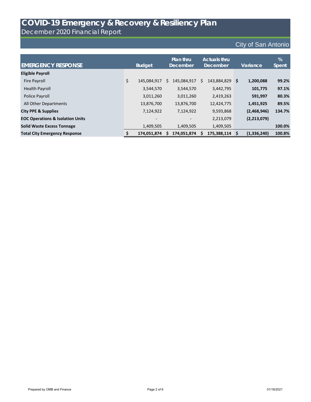December 2020 Financial Report

| <b>EMERGENCY RESPONSE</b>                   | <b>Budget</b>     |   | Plan thru<br><b>December</b> |    | <b>Actuals thru</b><br><b>December</b> | Variance    | %<br><b>Spent</b> |
|---------------------------------------------|-------------------|---|------------------------------|----|----------------------------------------|-------------|-------------------|
| <b>Eligible Payroll</b>                     |                   |   |                              |    |                                        |             |                   |
| <b>Fire Payroll</b>                         | \$<br>145,084,917 | S | 145,084,917                  | S. | 143,884,829 \$                         | 1,200,088   | 99.2%             |
| <b>Health Payroll</b>                       | 3,544,570         |   | 3,544,570                    |    | 3,442,795                              | 101,775     | 97.1%             |
| Police Payroll                              | 3,011,260         |   | 3,011,260                    |    | 2,419,263                              | 591,997     | 80.3%             |
| All Other Departments                       | 13,876,700        |   | 13,876,700                   |    | 12,424,775                             | 1,451,925   | 89.5%             |
| <b>City PPE &amp; Supplies</b>              | 7,124,922         |   | 7,124,922                    |    | 9,593,868                              | (2,468,946) | 134.7%            |
| <b>EOC Operations &amp; Isolation Units</b> |                   |   |                              |    | 2,213,079                              | (2,213,079) |                   |
| <b>Solid Waste Excess Tonnage</b>           | 1,409,505         |   | 1,409,505                    |    | 1,409,505                              |             | 100.0%            |
| <b>Total City Emergency Response</b>        | 174,051,874       |   | 174,051,874                  | S  | 175,388,114 \$                         | (1,336,240) | 100.8%            |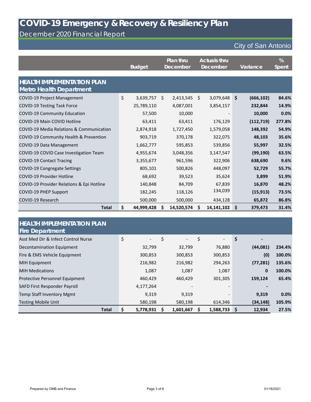#### December 2020 Financial Report

|                                                                     | <b>Budget</b>    |     | Plan thru<br><b>December</b> | <b>Actuals thru</b><br><b>December</b> |            |                    | Variance   | %<br><b>Spent</b> |
|---------------------------------------------------------------------|------------------|-----|------------------------------|----------------------------------------|------------|--------------------|------------|-------------------|
| <b>HEALTH IMPLEMENTATION PLAN</b><br><b>Metro Health Department</b> |                  |     |                              |                                        |            |                    |            |                   |
| <b>COVID-19 Project Management</b>                                  | \$<br>3,639,757  | \$  | 2,413,545                    | \$                                     | 3,079,648  | $\mathsf{\hat{S}}$ | (666, 102) | 84.6%             |
| <b>COVID-19 Testing Task Force</b>                                  | 25,789,110       |     | 4,087,001                    |                                        | 3,854,157  |                    | 232,844    | 14.9%             |
| <b>COVID-19 Community Education</b>                                 | 57,500           |     | 10,000                       |                                        |            |                    | 10,000     | 0.0%              |
| <b>COVID-19 Main COVID Hotline</b>                                  | 63,411           |     | 63,411                       |                                        | 176,129    |                    | (112, 719) | 277.8%            |
| COVID-19 Media Relations & Communication                            | 2,874,918        |     | 1,727,450                    |                                        | 1,579,058  |                    | 148,392    | 54.9%             |
| COVID-19 Community Health & Prevention                              | 903,719          |     | 370,178                      |                                        | 322,075    |                    | 48,103     | 35.6%             |
| COVID-19 Data Management                                            | 1,662,777        |     | 595,853                      |                                        | 539,856    |                    | 55,997     | 32.5%             |
| COVID-19 COVID Case Investigation Team                              | 4,955,674        |     | 3,048,356                    |                                        | 3,147,547  |                    | (99, 190)  | 63.5%             |
| <b>COVID-19 Contact Tracing</b>                                     | 3,355,677        |     | 961,596                      |                                        | 322,906    |                    | 638,690    | 9.6%              |
| <b>COVID-19 Congregate Settings</b>                                 | 805,101          |     | 500,826                      |                                        | 448,097    |                    | 52,729     | 55.7%             |
| <b>COVID-19 Provider Hotline</b>                                    | 68,692           |     | 39,523                       |                                        | 35,624     |                    | 3,899      | 51.9%             |
| COVID-19 Provider Relations & Epi Hotline                           | 140,848          |     | 84,709                       |                                        | 67,839     |                    | 16,870     | 48.2%             |
| <b>COVID-19 PHEP Support</b>                                        | 182,245          |     | 118,126                      |                                        | 134,039    |                    | (15, 913)  | 73.5%             |
| <b>COVID-19 Research</b>                                            | 500,000          |     | 500,000                      |                                        | 434,128    |                    | 65,872     | 86.8%             |
| <b>Total</b>                                                        | \$<br>44,999,428 | \$. | 14,520,574                   | \$                                     | 14,141,102 | \$                 | 379,473    | 31.4%             |

| <b>HEALTH IMPLEMENTATION PLAN</b><br><b>Fire Department</b> |                                |             |           |                          |                      |        |
|-------------------------------------------------------------|--------------------------------|-------------|-----------|--------------------------|----------------------|--------|
| Asst Med Dir & Infect Control Nurse                         | \$<br>$\overline{\phantom{0}}$ | \$<br>$ \,$ | \$        | $\overline{\phantom{a}}$ | \$<br>$\blacksquare$ |        |
| Decontamination Equipment                                   | 32,799                         | 32,799      |           | 76,880                   | (44,081)             | 234.4% |
| Fire & EMS Vehicle Equipment                                | 300,853                        | 300,853     | 300,853   |                          | (0)                  | 100.0% |
| <b>MIH Equipment</b>                                        | 216,982                        | 216,982     | 294,263   |                          | (77, 281)            | 135.6% |
| <b>MIH Medications</b>                                      | 1,087                          | 1,087       |           | 1,087                    | $\boldsymbol{0}$     | 100.0% |
| Protective Personnel Equipment                              | 460,429                        | 460,429     | 301,305   |                          | 159,124              | 65.4%  |
| SAFD First Responder Payroll                                | 4,177,264                      |             |           | $\qquad \qquad$          |                      |        |
| Temp Staff Inventory Mgmt                                   | 9,319                          | 9,319       |           | $\overline{\phantom{a}}$ | 9,319                | 0.0%   |
| <b>Testing Mobile Unit</b>                                  | 580,198                        | 580,198     | 614,346   |                          | (34, 148)            | 105.9% |
| <b>Total</b>                                                | \$<br>5,778,931                | 1,601,667   | 1,588,733 |                          | \$<br>12,934         | 27.5%  |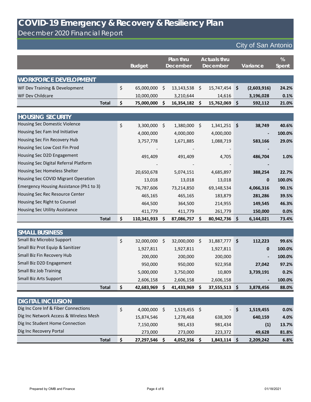Deecmber 2020 Financial Report

|                                         | <b>Budget</b>     |              | Plan thru<br><b>December</b> |         | <b>Actuals thru</b><br><b>December</b> |                     | Variance    | %<br>Spent |
|-----------------------------------------|-------------------|--------------|------------------------------|---------|----------------------------------------|---------------------|-------------|------------|
| <b>WORKFORCE DEVELOPMENT</b>            |                   |              |                              |         |                                        |                     |             |            |
| WF Dev Training & Development           | \$<br>65,000,000  | \$           | 13,143,538                   | \$      | 15,747,454                             | $\ddot{\bm{\zeta}}$ | (2,603,916) | 24.2%      |
| <b>WF Dev Childcare</b>                 | 10,000,000        |              | 3,210,644                    |         | 14,616                                 |                     | 3,196,028   | 0.1%       |
| <b>Total</b>                            | \$<br>75,000,000  | Ŝ.           | 16,354,182                   | \$      | 15,762,069                             | \$                  | 592,112     | 21.0%      |
|                                         |                   |              |                              |         |                                        |                     |             |            |
| <b>HOUSING SECURITY</b>                 |                   |              |                              |         |                                        |                     |             |            |
| <b>Housing Sec Domestic Violence</b>    | \$<br>3,300,000   | $\zeta$      | 1,380,000                    | $\zeta$ | 1,341,251                              | $\ddot{\bm{\zeta}}$ | 38,749      | 40.6%      |
| Housing Sec Fam Ind Initiative          | 4,000,000         |              | 4,000,000                    |         | 4,000,000                              |                     |             | 100.0%     |
| Housing Sec Fin Recovery Hub            | 3,757,778         |              | 1,671,885                    |         | 1,088,719                              |                     | 583,166     | 29.0%      |
| Housing Sec Low Cost Fin Prod           |                   |              |                              |         |                                        |                     |             |            |
| Housing Sec D2D Engagement              | 491,409           |              | 491,409                      |         | 4,705                                  |                     | 486,704     | 1.0%       |
| Housing Sec Digital Referral Platform   |                   |              |                              |         |                                        |                     |             |            |
| Housing Sec Homeless Shelter            | 20,650,678        |              | 5,074,151                    |         | 4,685,897                              |                     | 388,254     | 22.7%      |
| Housing Sec COVID Migrant Operation     | 13,018            |              | 13,018                       |         | 13,018                                 |                     | 0           | 100.0%     |
| Emergency Housing Assistance (Ph1 to 3) | 76,787,606        |              | 73,214,850                   |         | 69,148,534                             |                     | 4,066,316   | 90.1%      |
| Housing Sec Rec Resource Center         | 465,165           |              | 465,165                      |         | 183,879                                |                     | 281,286     | 39.5%      |
| Housing Sec Right to Counsel            | 464,500           |              | 364,500                      |         | 214,955                                |                     | 149,545     | 46.3%      |
| <b>Housing Sec Utility Assistance</b>   | 411,779           |              | 411,779                      |         | 261,779                                |                     | 150,000     | 0.0%       |
| <b>Total</b>                            | \$<br>110,341,933 | \$.          | 87,086,757                   | \$      | 80,942,736                             | $\varsigma$         | 6,144,021   | 73.4%      |
|                                         |                   |              |                              |         |                                        |                     |             |            |
| <b>SMALL BUSINESS</b>                   |                   |              |                              |         |                                        |                     |             |            |
| Small Biz Microbiz Support              | \$<br>32,000,000  | \$           | 32,000,000                   | \$      | 31,887,777                             | \$                  | 112,223     | 99.6%      |
| Small Biz Prot Equip & Sanitizer        | 1,927,811         |              | 1,927,811                    |         | 1,927,811                              |                     | 0           | 100.0%     |
| Small Biz Fin Recovery Hub              | 200,000           |              | 200,000                      |         | 200,000                                |                     |             | 100.0%     |
| Small Biz D2D Engagement                | 950,000           |              | 950,000                      |         | 922,958                                |                     | 27,042      | 97.2%      |
| Small Biz Job Training                  | 5,000,000         |              | 3,750,000                    |         | 10,809                                 |                     | 3,739,191   | 0.2%       |
| <b>Small Biz Arts Support</b>           | 2,606,158         |              | 2,606,158                    |         | 2,606,158                              |                     |             | 100.0%     |
| <b>Total</b>                            | \$<br>42,683,969  | -S           | 41,433,969                   | Ş       | 37,555,513                             | $\varsigma$         | 3,878,456   | 88.0%      |
|                                         |                   |              |                              |         |                                        |                     |             |            |
| <b>DIGITAL INCLUSION</b>                |                   |              |                              |         |                                        |                     |             |            |
| Dig Inc Core Inf & Fiber Connections    | \$<br>4,000,000   | $\zeta$      | 1,519,455 \$                 |         |                                        | \$                  | 1,519,455   | 0.0%       |
| Dig Inc Network Access & Wireless Mesh  | 15,874,546        |              | 1,278,468                    |         | 638,309                                |                     | 640,159     | 4.0%       |
| Dig Inc Student Home Connection         | 7,150,000         |              | 981,433                      |         | 981,434                                |                     | (1)         | 13.7%      |
| Dig Inc Recovery Portal                 | 273,000           |              | 273,000                      |         | 223,372                                |                     | 49,628      | 81.8%      |
| <b>Total</b>                            | \$<br>27,297,546  | $\mathsf{S}$ | 4,052,356                    | \$      | $1,843,114$ \$                         |                     | 2,209,242   | 6.8%       |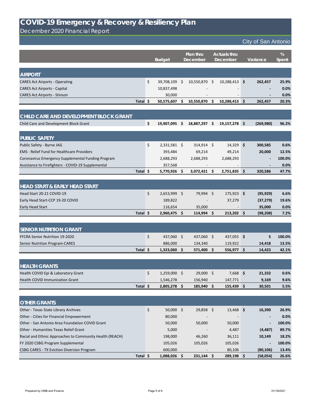|                                                    |          |    |                |      | <b>Budget</b> |                     | <b>Plan thru</b><br><b>December</b> | <b>Actuals thru</b><br><b>December</b> |            |        | Variance | %<br><b>Spent</b> |
|----------------------------------------------------|----------|----|----------------|------|---------------|---------------------|-------------------------------------|----------------------------------------|------------|--------|----------|-------------------|
| <b>AIRPORT</b>                                     |          |    |                |      |               |                     |                                     |                                        |            |        |          |                   |
| <b>CARES Act Airports - Operating</b>              |          | \$ | 39,708,109 \$  |      | 10,550,870    | - \$                | $10,288,413$ \$                     |                                        | 262,457    | 25.9%  |          |                   |
| <b>CARES Act Airports - Capital</b>                |          |    | 10,837,498     |      |               |                     |                                     |                                        |            | 0.0%   |          |                   |
| <b>CARES Act Airports - Stinson</b>                |          |    | 30,000         |      |               |                     |                                     |                                        |            | 0.0%   |          |                   |
|                                                    | Total \$ |    | 50,575,607     | - \$ | 10,550,870    | \$                  | 10,288,413                          | -\$                                    | 262,457    | 20.3%  |          |                   |
|                                                    |          |    |                |      |               |                     |                                     |                                        |            |        |          |                   |
| CHILD CARE AND DEVELOPMENT BLOCK GRANT             |          |    |                |      |               |                     |                                     |                                        |            |        |          |                   |
| Child Care and Development Block Grant             |          | \$ | 19,907,095 \$  |      | 18,887,297    | \$                  | $19,157,278$ \$                     |                                        | (269, 980) | 96.2%  |          |                   |
| <b>PUBLIC SAFETY</b>                               |          |    |                |      |               |                     |                                     |                                        |            |        |          |                   |
| Public Safety - Byrne JAG                          |          | \$ | $2,331,581$ \$ |      | 314,914 \$    |                     | $14,329$ \$                         |                                        | 300,585    | 0.6%   |          |                   |
| <b>EMS</b> - Relief Fund for Healthcare Providers  |          |    | 393,484        |      | 69,214        |                     | 49,214                              |                                        | 20,000     | 12.5%  |          |                   |
| Coronavirus Emergency Supplemental Funding Program |          |    | 2,688,293      |      | 2,688,293     |                     | 2,688,293                           |                                        |            | 100.0% |          |                   |
| Assistance to Firefighters - COVID-19 Supplemental |          |    | 357,568        |      |               |                     |                                     |                                        |            | 0.0%   |          |                   |
|                                                    | Total \$ |    | 5,770,926      | \$.  | 3,072,421     | -Ş                  | 2,751,835 \$                        |                                        | 320,586    | 47.7%  |          |                   |
|                                                    |          |    |                |      |               |                     |                                     |                                        |            |        |          |                   |
| <b>HEAD START &amp; EARLY HEAD START</b>           |          |    |                |      |               |                     |                                     |                                        |            |        |          |                   |
| Head Start 20-21 COVID-19                          |          | \$ | 2,653,999 \$   |      | 79,994 \$     |                     | $175,923$ \$                        |                                        | (95, 929)  | 6.6%   |          |                   |
| Early Head Start-CCP 19-20 COVID                   |          |    | 189,822        |      |               |                     | 37,279                              |                                        | (37, 279)  | 19.6%  |          |                   |
| Early Head Start                                   |          |    | 116,654        |      | 35,000        |                     |                                     |                                        | 35,000     | 0.0%   |          |                   |
|                                                    | Total \$ |    | 2,960,475 \$   |      | $114,994$ \$  |                     | $213,202$ \$                        |                                        | (98, 208)  | 7.2%   |          |                   |
|                                                    |          |    |                |      |               |                     |                                     |                                        |            |        |          |                   |
| <b>SENIOR NUTRITION GRANT</b>                      |          |    |                |      |               |                     |                                     |                                        |            |        |          |                   |
| FFCRA Senior Nutrition 19-2020                     |          | \$ | 437,060 \$     |      | 437,060 \$    |                     | 437,055 \$                          |                                        | 5          | 100.0% |          |                   |
| <b>Senior Nutrition Program-CARES</b>              |          |    | 886,000        |      | 134,340       |                     | 119,922                             |                                        | 14,418     | 13.5%  |          |                   |
|                                                    | Total \$ |    | $1,323,060$ \$ |      | 571,400       | $\ddot{\bm{\zeta}}$ | 556,977 \$                          |                                        | 14,423     | 42.1%  |          |                   |
|                                                    |          |    |                |      |               |                     |                                     |                                        |            |        |          |                   |
| <b>HEALTH GRANTS</b>                               |          |    |                |      |               |                     |                                     |                                        |            |        |          |                   |
| Health COVID Epi & Laboratory Grant                |          | \$ | 1,259,000 \$   |      | 29,000 \$     |                     | $7,668$ \$                          |                                        | 21,332     | 0.6%   |          |                   |
| <b>Health COVID Immunization Grant</b>             |          |    | 1,546,278      |      | 156,940       |                     | 147,771                             |                                        | 9,169      | 9.6%   |          |                   |
|                                                    | Total \$ |    | $2,805,278$ \$ |      | 185,940       | $\ddot{\bm{\zeta}}$ | $155,439$ \$                        |                                        | 30,501     | 5.5%   |          |                   |
| <b>OTHER GRANTS</b>                                |          |    |                |      |               |                     |                                     |                                        |            |        |          |                   |
| Other - Texas State Library Archives               |          | \$ | $50,000$ \$    |      | $29,858$ \$   |                     | $13,468$ \$                         |                                        | 16,390     | 26.9%  |          |                   |

| Total \$                                                 | $1,088,026$ \$ | 231,144                  | 289,198         | (58,054)       | 26.6%  |
|----------------------------------------------------------|----------------|--------------------------|-----------------|----------------|--------|
| <b>CSBG CARES - TX Eviction Diversion Program</b>        | 600,000        | $\overline{\phantom{a}}$ | 80,106          | (80, 106)      | 13.4%  |
| FY 2020 CSBG Program Supplemental                        | 105,026        | 105,026                  | 105,026         | $\blacksquare$ | 100.0% |
| Racial and Ethnic Approaches to Community Health (REACH) | 198,000        | 46,260                   | 36,111          | 10,149         | 18.2%  |
| Other - Humanities Texas Relief Grant                    | 5,000          | $\qquad \qquad$          | 4,487           | (4, 487)       | 89.7%  |
| Other - San Antonio Area Foundation COVID Grant          | 50,000         | 50,000                   | 50,000          |                | 100.0% |
| Other - Cities for Financial Empowerment                 | 80,000         | $\overline{\phantom{0}}$ | $\qquad \qquad$ |                | 0.0%   |

December 2020 Financial Report